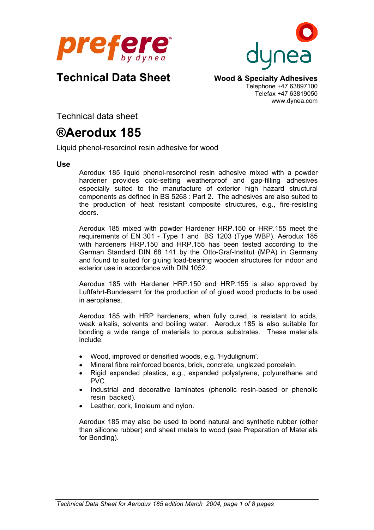



## **Technical Data Sheet Wood & Specialty Adhesives**

Telephone +47 63897100 Telefax +47 63819050 www.dynea.com

Technical data sheet

# **®Aerodux 185**

Liquid phenol-resorcinol resin adhesive for wood

**Use**

Aerodux 185 liquid phenol-resorcinol resin adhesive mixed with a powder hardener provides cold-setting weatherproof and gap-filling adhesives especially suited to the manufacture of exterior high hazard structural components as defined in BS 5268 : Part 2. The adhesives are also suited to the production of heat resistant composite structures, e.g., fire-resisting doors.

Aerodux 185 mixed with powder Hardener HRP.150 or HRP.155 meet the requirements of EN 301 - Type 1 and BS 1203 (Type WBP). Aerodux 185 with hardeners HRP.150 and HRP.155 has been tested according to the German Standard DIN 68 141 by the Otto-Graf-Institut (MPA) in Germany and found to suited for gluing load-bearing wooden structures for indoor and exterior use in accordance with DIN 1052.

Aerodux 185 with Hardener HRP.150 and HRP.155 is also approved by Luftfahrt-Bundesamt for the production of of glued wood products to be used in aeroplanes.

Aerodux 185 with HRP hardeners, when fully cured, is resistant to acids, weak alkalis, solvents and boiling water. Aerodux 185 is also suitable for bonding a wide range of materials to porous substrates. These materials include:

- Wood, improved or densified woods, e.g. 'Hydulignum'.
- Mineral fibre reinforced boards, brick, concrete, unglazed porcelain.
- Rigid expanded plastics, e.g., expanded polystyrene, polyurethane and PVC.
- Industrial and decorative laminates (phenolic resin-based or phenolic resin backed).
- Leather, cork, linoleum and nylon.

Aerodux 185 may also be used to bond natural and synthetic rubber (other than silicone rubber) and sheet metals to wood (see Preparation of Materials for Bonding).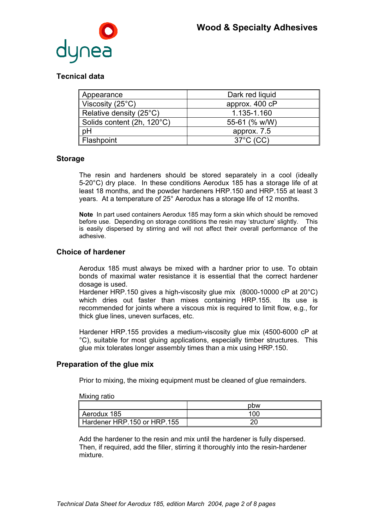

## **Tecnical data**

| Appearance                         | Dark red liquid     |
|------------------------------------|---------------------|
| Viscosity (25 $^{\circ}$ C)        | approx. 400 cP      |
| Relative density (25 $^{\circ}$ C) | 1.135-1.160         |
| Solids content (2h, 120°C)         | 55-61 (% w/W)       |
| pH                                 | approx. 7.5         |
| Flashpoint                         | $37^{\circ}$ C (CC) |

## **Storage**

The resin and hardeners should be stored separately in a cool (ideally 5-20°C) dry place. In these conditions Aerodux 185 has a storage life of at least 18 months, and the powder hardeners HRP.150 and HRP.155 at least 3 years. At a temperature of 25° Aerodux has a storage life of 12 months.

**Note** In part used containers Aerodux 185 may form a skin which should be removed before use. Depending on storage conditions the resin may 'structure' slightly. This is easily dispersed by stirring and will not affect their overall performance of the adhesive.

## **Choice of hardener**

Aerodux 185 must always be mixed with a hardner prior to use. To obtain bonds of maximal water resistance it is essential that the correct hardener dosage is used.

Hardener HRP.150 gives a high-viscosity glue mix (8000-10000 cP at 20°C) which dries out faster than mixes containing HRP.155. Its use is recommended for joints where a viscous mix is required to limit flow, e.g., for thick glue lines, uneven surfaces, etc.

Hardener HRP.155 provides a medium-viscosity glue mix (4500-6000 cP at °C), suitable for most gluing applications, especially timber structures. This glue mix tolerates longer assembly times than a mix using HRP.150.

## **Preparation of the glue mix**

Prior to mixing, the mixing equipment must be cleaned of glue remainders.

#### Mixing ratio

|                             | pbw |
|-----------------------------|-----|
| Aerodux 185                 | 100 |
| Hardener HRP.150 or HRP.155 |     |

Add the hardener to the resin and mix until the hardener is fully dispersed. Then, if required, add the filler, stirring it thoroughly into the resin-hardener mixture.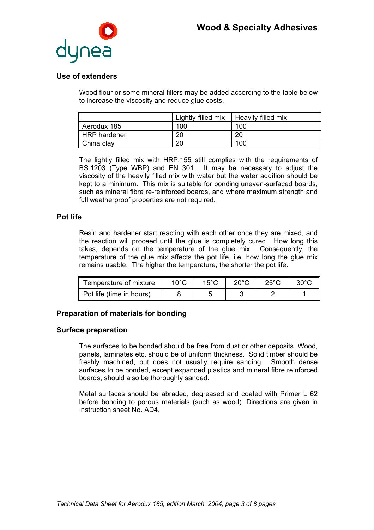

## **Use of extenders**

Wood flour or some mineral fillers may be added according to the table below to increase the viscosity and reduce glue costs.

|              | Lightly-filled mix | Heavily-filled mix |
|--------------|--------------------|--------------------|
| Aerodux 185  | 100                | 100                |
| HRP hardener | 20                 | 20                 |
| China clay   | 20                 | 100                |

The lightly filled mix with HRP.155 still complies with the requirements of BS 1203 (Type WBP) and EN 301. It may be necessary to adjust the viscosity of the heavily filled mix with water but the water addition should be kept to a minimum. This mix is suitable for bonding uneven-surfaced boards, such as mineral fibre re-reinforced boards, and where maximum strength and full weatherproof properties are not required.

## **Pot life**

Resin and hardener start reacting with each other once they are mixed, and the reaction will proceed until the glue is completely cured. How long this takes, depends on the temperature of the glue mix. Consequently, the temperature of the glue mix affects the pot life, i.e. how long the glue mix remains usable. The higher the temperature, the shorter the pot life.

| Temperature of mixture   | 10°C | $15^{\circ}$ C | $20^{\circ}$ C | $25^{\circ}$ C | $30^{\circ}$ C |
|--------------------------|------|----------------|----------------|----------------|----------------|
| Pot life (time in hours) |      |                |                |                |                |

## **Preparation of materials for bonding**

#### **Surface preparation**

The surfaces to be bonded should be free from dust or other deposits. Wood, panels, laminates etc. should be of uniform thickness. Solid timber should be freshly machined, but does not usually require sanding. Smooth dense surfaces to be bonded, except expanded plastics and mineral fibre reinforced boards, should also be thoroughly sanded.

Metal surfaces should be abraded, degreased and coated with Primer L 62 before bonding to porous materials (such as wood). Directions are given in Instruction sheet No. AD4.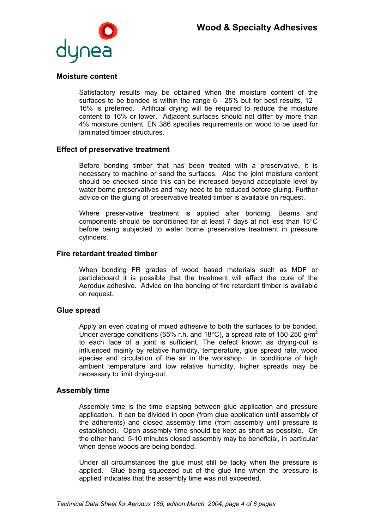

#### **Moisture content**

Satisfactory results may be obtained when the moisture content of the surfaces to be bonded is within the range 6 - 25% but for best results, 12 - 16% is preferred. Artificial drying will be required to reduce the moisture content to 16% or lower. Adjacent surfaces should not differ by more than 4% moisture content. EN 386 specifies requirements on wood to be used for laminated timber structures.

#### **Effect of preservative treatment**

Before bonding timber that has been treated with a preservative, it is necessary to machine or sand the surfaces. Also the joint moisture content should be checked since this can be increased beyond acceptable level by water borne preservatives and may need to be reduced before gluing. Further advice on the gluing of preservative treated timber is available on request.

Where preservative treatment is applied after bonding. Beams and components should be conditioned for at least 7 days at not less than 15°C before being subjected to water borne preservative treatment in pressure cylinders.

#### **Fire retardant treated timber**

When bonding FR grades of wood based materials such as MDF or particleboard it is possible that the treatment will affect the cure of the Aerodux adhesive. Advice on the bonding of fire retardant timber is available on request.

#### **Glue spread**

Apply an even coating of mixed adhesive to both the surfaces to be bonded. Under average conditions (65% r.h. and 18°C), a spread rate of 150-250 g/m<sup>2</sup> to each face of a joint is sufficient. The defect known as drying-out is influenced mainly by relative humidity, temperature, glue spread rate, wood species and circulation of the air in the workshop. In conditions of high ambient temperature and low relative humidity, higher spreads may be necessary to limit drying-out.

#### **Assembly time**

Assembly time is the time elapsing between glue application and pressure application. It can be divided in open (from glue application until assembly of the adherents) and closed assembly time (from assembly until pressure is established). Open assembly time should be kept as short as possible. On the other hand, 5-10 minutes closed assembly may be beneficial, in particular when dense woods are being bonded.

Under all circumstances the glue must still be tacky when the pressure is applied. Glue being squeezed out of the glue line when the pressure is applied indicates that the assembly time was not exceeded.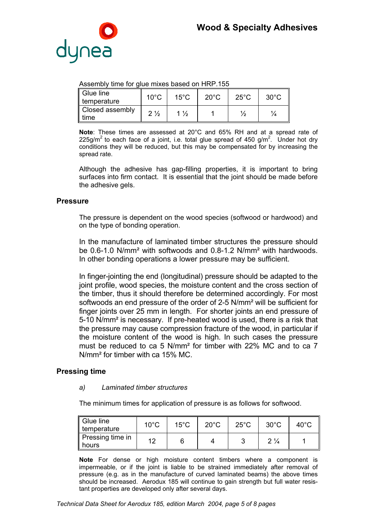

#### Assembly time for glue mixes based on HRP.155

| Glue line<br>temperature | $10^{\circ}$ C | $15^{\circ}$ C | $20^{\circ}$ C | $25^{\circ}$ C | $30^{\circ}$ C |
|--------------------------|----------------|----------------|----------------|----------------|----------------|
| Closed assembly<br>time  | $2\frac{1}{2}$ | $\frac{1}{2}$  |                | 72             |                |

**Note**: These times are assessed at 20°C and 65% RH and at a spread rate of 225g/m<sup>2</sup> to each face of a joint, i.e. total glue spread of 450 g/m<sup>2</sup>. Under hot dry conditions they will be reduced, but this may be compensated for by increasing the spread rate.

Although the adhesive has gap-filling properties, it is important to bring surfaces into firm contact. It is essential that the joint should be made before the adhesive gels.

#### **Pressure**

The pressure is dependent on the wood species (softwood or hardwood) and on the type of bonding operation.

In the manufacture of laminated timber structures the pressure should be 0.6-1.0 N/mm² with softwoods and 0.8-1.2 N/mm² with hardwoods. In other bonding operations a lower pressure may be sufficient.

In finger-jointing the end (longitudinal) pressure should be adapted to the joint profile, wood species, the moisture content and the cross section of the timber, thus it should therefore be determined accordingly. For most softwoods an end pressure of the order of 2-5 N/mm² will be sufficient for finger joints over 25 mm in length. For shorter joints an end pressure of 5-10 N/mm² is necessary. If pre-heated wood is used, there is a risk that the pressure may cause compression fracture of the wood, in particular if the moisture content of the wood is high. In such cases the pressure must be reduced to ca 5 N/mm² for timber with 22% MC and to ca 7 N/mm² for timber with ca 15% MC.

#### **Pressing time**

#### *a) Laminated timber structures*

The minimum times for application of pressure is as follows for softwood.

| $\parallel$ Glue line<br>temperature | $10^{\circ}$ C | $15^{\circ}$ C | $20^{\circ}$ C | $25^{\circ}$ C | $30^{\circ}$ C | $40^{\circ}$ C |
|--------------------------------------|----------------|----------------|----------------|----------------|----------------|----------------|
| Pressing time in<br>ll hours         | ィつ             |                |                |                | $2\frac{1}{4}$ |                |

**Note** For dense or high moisture content timbers where a component is impermeable, or if the joint is liable to be strained immediately after removal of pressure (e.g. as in the manufacture of curved laminated beams) the above times should be increased. Aerodux 185 will continue to gain strength but full water resistant properties are developed only after several days.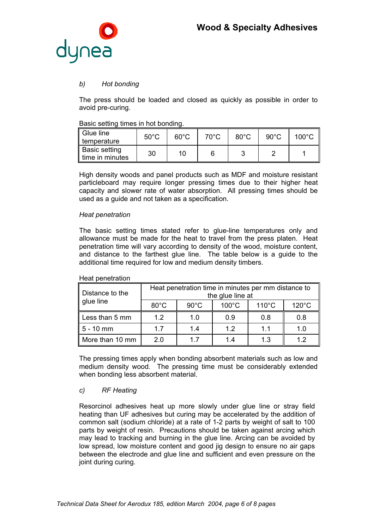

## *b) Hot bonding*

The press should be loaded and closed as quickly as possible in order to avoid pre-curing.

#### Basic setting times in hot bonding.

| Glue line<br>$\parallel$ temperature | $50^{\circ}$ C | $60^{\circ}$ C | $70^{\circ}$ C | $80^{\circ}$ C | $90^{\circ}$ C | $100^{\circ}$ C |
|--------------------------------------|----------------|----------------|----------------|----------------|----------------|-----------------|
| ∥ Basic setting<br>I time in minutes | 30             | 10             |                |                |                |                 |

High density woods and panel products such as MDF and moisture resistant particleboard may require longer pressing times due to their higher heat capacity and slower rate of water absorption. All pressing times should be used as a guide and not taken as a specification.

#### *Heat penetration*

The basic setting times stated refer to glue-line temperatures only and allowance must be made for the heat to travel from the press platen. Heat penetration time will vary according to density of the wood, moisture content, and distance to the farthest glue line. The table below is a guide to the additional time required for low and medium density timbers.

| Distance to the | Heat penetration time in minutes per mm distance to<br>the glue line at |                |                 |                 |                 |  |
|-----------------|-------------------------------------------------------------------------|----------------|-----------------|-----------------|-----------------|--|
| glue line       | $80^{\circ}$ C                                                          | $90^{\circ}$ C | $100^{\circ}$ C | $110^{\circ}$ C | $120^{\circ}$ C |  |
| Less than 5 mm  | 12                                                                      | 1.0            | 0.9             | 0.8             | 0.8             |  |
| 5 - 10 mm       | 17                                                                      | 1.4            | 12              | 1.1             | 1.0             |  |
| More than 10 mm | 20                                                                      | 17             | 14              | 1.3             | 12              |  |

#### Heat penetration

The pressing times apply when bonding absorbent materials such as low and medium density wood. The pressing time must be considerably extended when bonding less absorbent material.

#### *c) RF Heating*

Resorcinol adhesives heat up more slowly under glue line or stray field heating than UF adhesives but curing may be accelerated by the addition of common salt (sodium chloride) at a rate of 1-2 parts by weight of salt to 100 parts by weight of resin. Precautions should be taken against arcing which may lead to tracking and burning in the glue line. Arcing can be avoided by low spread, low moisture content and good jig design to ensure no air gaps between the electrode and glue line and sufficient and even pressure on the joint during curing.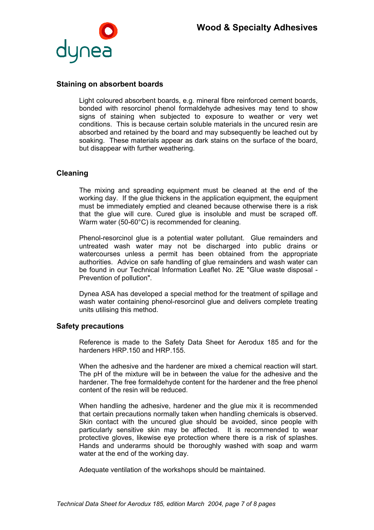

## **Staining on absorbent boards**

Light coloured absorbent boards, e.g. mineral fibre reinforced cement boards, bonded with resorcinol phenol formaldehyde adhesives may tend to show signs of staining when subjected to exposure to weather or very wet conditions. This is because certain soluble materials in the uncured resin are absorbed and retained by the board and may subsequently be leached out by soaking. These materials appear as dark stains on the surface of the board, but disappear with further weathering.

### **Cleaning**

The mixing and spreading equipment must be cleaned at the end of the working day. If the glue thickens in the application equipment, the equipment must be immediately emptied and cleaned because otherwise there is a risk that the glue will cure. Cured glue is insoluble and must be scraped off. Warm water (50-60°C) is recommended for cleaning.

Phenol-resorcinol glue is a potential water pollutant. Glue remainders and untreated wash water may not be discharged into public drains or watercourses unless a permit has been obtained from the appropriate authorities. Advice on safe handling of glue remainders and wash water can be found in our Technical Information Leaflet No. 2E "Glue waste disposal - Prevention of pollution".

Dynea ASA has developed a special method for the treatment of spillage and wash water containing phenol-resorcinol glue and delivers complete treating units utilising this method.

#### **Safety precautions**

Reference is made to the Safety Data Sheet for Aerodux 185 and for the hardeners HRP 150 and HRP 155

When the adhesive and the hardener are mixed a chemical reaction will start. The pH of the mixture will be in between the value for the adhesive and the hardener. The free formaldehyde content for the hardener and the free phenol content of the resin will be reduced.

When handling the adhesive, hardener and the glue mix it is recommended that certain precautions normally taken when handling chemicals is observed. Skin contact with the uncured glue should be avoided, since people with particularly sensitive skin may be affected. It is recommended to wear protective gloves, likewise eye protection where there is a risk of splashes. Hands and underarms should be thoroughly washed with soap and warm water at the end of the working day.

Adequate ventilation of the workshops should be maintained.